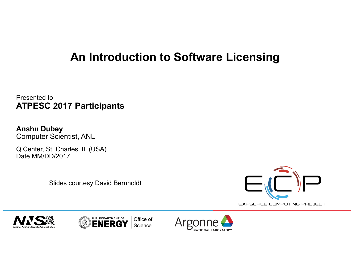## **An Introduction to Software Licensing**

Presented to **ATPESC 2017 Participants**

**Anshu Dubey**  Computer Scientist, ANL

Q Center, St. Charles, IL (USA) Date MM/DD/2017

Slides courtesy David Bernholdt







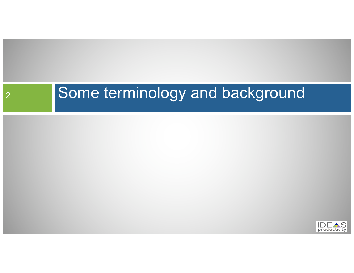# 2 Some terminology and background

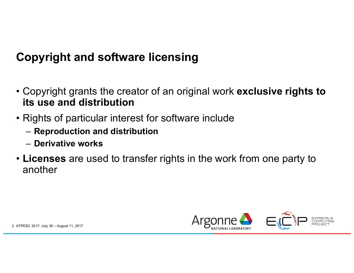# **Copyright and software licensing**

- Copyright grants the creator of an original work **exclusive rights to its use and distribution**
- Rights of particular interest for software include
	- **Reproduction and distribution**
	- **Derivative works**
- **Licenses** are used to transfer rights in the work from one party to another

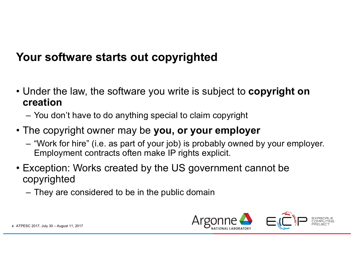#### **Your software starts out copyrighted**

- Under the law, the software you write is subject to **copyright on creation**
	- You don't have to do anything special to claim copyright
- The copyright owner may be **you, or your employer**
	- "Work for hire" (i.e. as part of your job) is probably owned by your employer. Employment contracts often make IP rights explicit.
- Exception: Works created by the US government cannot be copyrighted
	- They are considered to be in the public domain

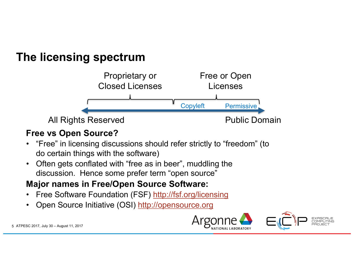#### **The licensing spectrum**



#### **Free vs Open Source?**

- "Free" in licensing discussions should refer strictly to "freedom" (to do certain things with the software)
- Often gets conflated with "free as in beer", muddling the discussion. Hence some prefer term "open source"

#### **Major names in Free/Open Source Software:**

- Free Software Foundation (FSF) http://fsf.org/licensing
- Open Source Initiative (OSI) http://opensource.org

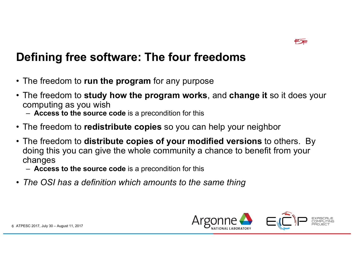

#### **Defining free software: The four freedoms**

- The freedom to **run the program** for any purpose
- The freedom to **study how the program works**, and **change it** so it does your computing as you wish
	- **Access to the source code** is a precondition for this
- The freedom to **redistribute copies** so you can help your neighbor
- The freedom to **distribute copies of your modified versions** to others. By doing this you can give the whole community a chance to benefit from your changes
	- **Access to the source code** is a precondition for this
- *The OSI has a definition which amounts to the same thing*

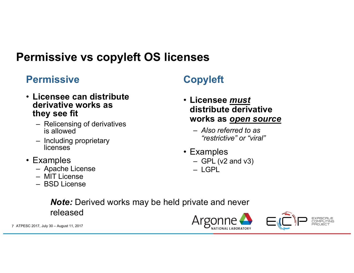### **Permissive vs copyleft OS licenses**

#### **Permissive Copyleft**

- **Licensee can distribute derivative works as they see fit**
	- Relicensing of derivatives is allowed
	- Including proprietary licenses
- Examples
	- Apache License
	- MIT License
	- BSD License

- **Licensee** *must* **distribute derivative works as** *open source*
	- *Also referred to as "restrictive" or "viral"*
- Examples
	- $-$  GPL (v2 and v3)
	- LGPL

*Note:* Derived works may be held private and never released

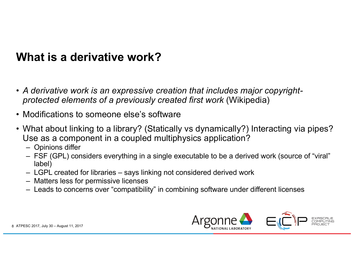#### **What is a derivative work?**

- *A derivative work is an expressive creation that includes major copyrightprotected elements of a previously created first work* (Wikipedia)
- Modifications to someone else's software
- What about linking to a library? (Statically vs dynamically?) Interacting via pipes? Use as a component in a coupled multiphysics application?
	- Opinions differ
	- FSF (GPL) considers everything in a single executable to be a derived work (source of "viral" label)
	- LGPL created for libraries says linking not considered derived work
	- Matters less for permissive licenses
	- Leads to concerns over "compatibility" in combining software under different licenses

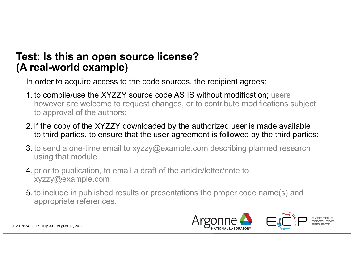#### **Test: Is this an open source license? (A real-world example)**

In order to acquire access to the code sources, the recipient agrees:

- 1. to compile/use the XYZZY source code AS IS without modification; users however are welcome to request changes, or to contribute modifications subject to approval of the authors;
- 2. if the copy of the XYZZY downloaded by the authorized user is made available to third parties, to ensure that the user agreement is followed by the third parties;
- 3. to send a one-time email to xyzzy@example.com describing planned research using that module
- 4. prior to publication, to email a draft of the article/letter/note to xyzzy@example.com
- 5. to include in published results or presentations the proper code name(s) and appropriate references.

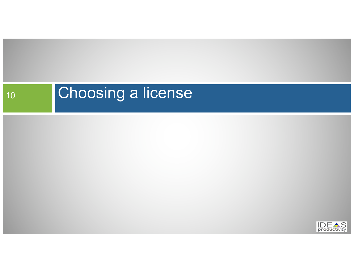# 10 Choosing a license

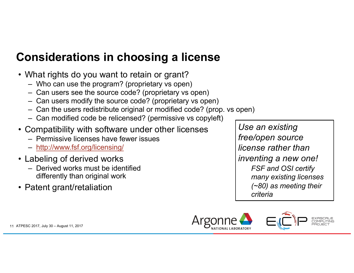# **Considerations in choosing a license**

- What rights do you want to retain or grant?
	- Who can use the program? (proprietary vs open)
	- Can users see the source code? (proprietary vs open)
	- Can users modify the source code? (proprietary vs open)
	- Can the users redistribute original or modified code? (prop. vs open)
	- Can modified code be relicensed? (permissive vs copyleft)
- Compatibility with software under other licenses
	- Permissive licenses have fewer issues
	- http://www.fsf.org/licensing/
- Labeling of derived works
	- Derived works must be identified differently than original work
- Patent grant/retaliation

*Use an existing free/open source license rather than inventing a new one! FSF and OSI certify many existing licenses (~80) as meeting their criteria*

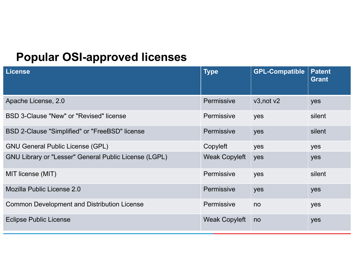#### **Popular OSI-approved licenses**

| <b>License</b>                                               | <b>Type</b>          | <b>GPL-Compatible</b> | <b>Patent</b><br><b>Grant</b> |
|--------------------------------------------------------------|----------------------|-----------------------|-------------------------------|
| Apache License, 2.0                                          | Permissive           | v3, not v2            | yes                           |
| BSD 3-Clause "New" or "Revised" license                      | Permissive           | yes                   | silent                        |
| BSD 2-Clause "Simplified" or "FreeBSD" license               | Permissive           | yes                   | silent                        |
| <b>GNU General Public License (GPL)</b>                      | Copyleft             | yes                   | yes                           |
| <b>GNU Library or "Lesser" General Public License (LGPL)</b> | <b>Weak Copyleft</b> | yes                   | yes                           |
| MIT license (MIT)                                            | Permissive           | yes                   | silent                        |
| Mozilla Public License 2.0                                   | Permissive           | yes                   | yes                           |
| <b>Common Development and Distribution License</b>           | Permissive           | no                    | yes                           |
| <b>Eclipse Public License</b>                                | <b>Weak Copyleft</b> | no                    | yes                           |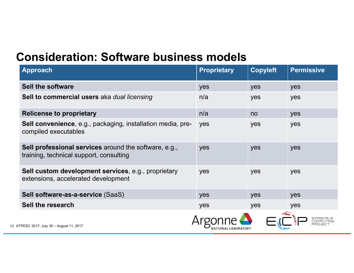#### **Consideration: Software business models**

| <b>Approach</b>                                                                                         | <b>Proprietary</b>  | <b>Copyleft</b> | <b>Permissive</b> |
|---------------------------------------------------------------------------------------------------------|---------------------|-----------------|-------------------|
| <b>Sell the software</b>                                                                                | yes                 | yes             | yes               |
| Sell to commercial users aka dual licensing                                                             | n/a                 | yes             | yes               |
| <b>Relicense to proprietary</b>                                                                         | n/a                 | no              | yes               |
| <b>Sell convenience, e.g., packaging, installation media, pre-</b><br>compiled executables              | yes                 | yes             | yes               |
| <b>Sell professional services</b> around the software, e.g.,<br>training, technical support, consulting | yes                 | yes             | yes               |
| Sell custom development services, e.g., proprietary<br>extensions, accelerated development              | yes                 | yes             | yes               |
| Sell software-as-a-service (SaaS)                                                                       | yes                 | yes             | yes               |
| Sell the research                                                                                       | yes                 | yes             | yes               |
| 13 ATPESC 2017, July 30 - August 11, 2017                                                               | NATIONAL LABORATORY |                 |                   |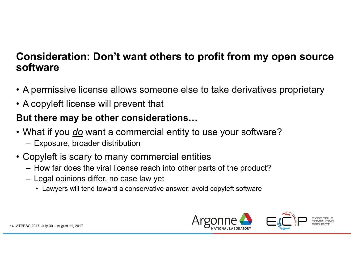#### **Consideration: Don't want others to profit from my open source software**

- A permissive license allows someone else to take derivatives proprietary
- A copyleft license will prevent that

#### **But there may be other considerations…**

- What if you *do* want a commercial entity to use your software?
	- Exposure, broader distribution
- Copyleft is scary to many commercial entities
	- How far does the viral license reach into other parts of the product?
	- Legal opinions differ, no case law yet
		- Lawyers will tend toward a conservative answer: avoid copyleft software

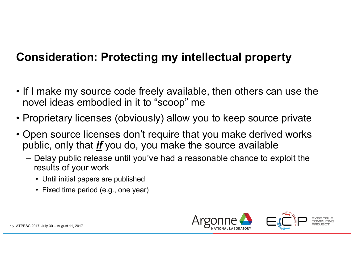### **Consideration: Protecting my intellectual property**

- If I make my source code freely available, then others can use the novel ideas embodied in it to "scoop" me
- Proprietary licenses (obviously) allow you to keep source private
- Open source licenses don't require that you make derived works public, only that *if* you do, you make the source available
	- Delay public release until you've had a reasonable chance to exploit the results of your work
		- Until initial papers are published
		- Fixed time period (e.g., one year)

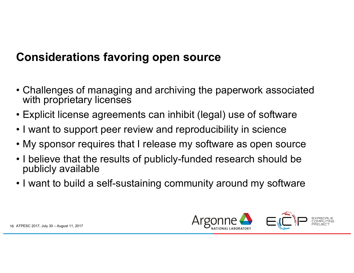#### **Considerations favoring open source**

- Challenges of managing and archiving the paperwork associated with proprietary licenses
- Explicit license agreements can inhibit (legal) use of software
- I want to support peer review and reproducibility in science
- My sponsor requires that I release my software as open source
- I believe that the results of publicly-funded research should be publicly available
- I want to build a self-sustaining community around my software

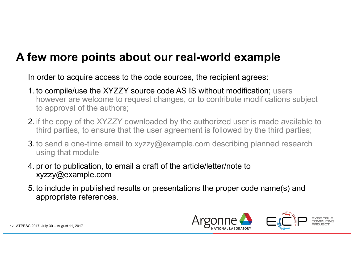#### **A few more points about our real-world example**

In order to acquire access to the code sources, the recipient agrees:

- 1. to compile/use the XYZZY source code AS IS without modification; users however are welcome to request changes, or to contribute modifications subject to approval of the authors;
- 2. if the copy of the XYZZY downloaded by the authorized user is made available to third parties, to ensure that the user agreement is followed by the third parties;
- 3. to send a one-time email to xyzzy@example.com describing planned research using that module
- 4. prior to publication, to email a draft of the article/letter/note to xyzzy@example.com
- 5. to include in published results or presentations the proper code name(s) and appropriate references.

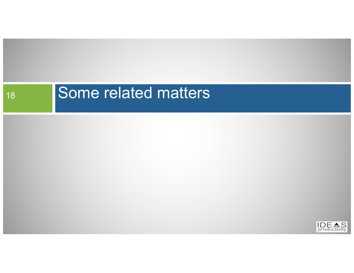# **Some related matters**

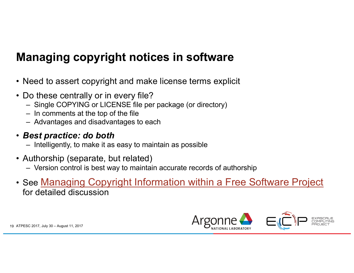# **Managing copyright notices in software**

- Need to assert copyright and make license terms explicit
- Do these centrally or in every file?
	- Single COPYING or LICENSE file per package (or directory)
	- In comments at the top of the file
	- Advantages and disadvantages to each

#### • *Best practice: do both*

- Intelligently, to make it as easy to maintain as possible
- Authorship (separate, but related)
	- Version control is best way to maintain accurate records of authorship
- See Managing Copyright Information within a Free Software Project for detailed discussion

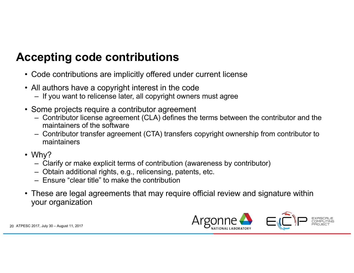# **Accepting code contributions**

- Code contributions are implicitly offered under current license
- All authors have a copyright interest in the code
	- If you want to relicense later, all copyright owners must agree
- Some projects require a contributor agreement
	- Contributor license agreement (CLA) defines the terms between the contributor and the maintainers of the software
	- Contributor transfer agreement (CTA) transfers copyright ownership from contributor to maintainers
- Why?
	- Clarify or make explicit terms of contribution (awareness by contributor)
	- Obtain additional rights, e.g., relicensing, patents, etc.
	- Ensure "clear title" to make the contribution
- These are legal agreements that may require official review and signature within your organization

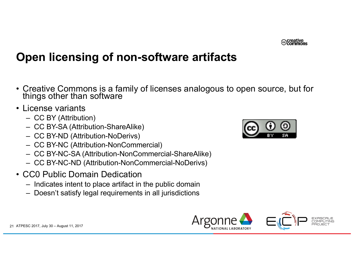

# **Open licensing of non-software artifacts**

- Creative Commons is a family of licenses analogous to open source, but for things other than software
- License variants
	- CC BY (Attribution)
	- CC BY-SA (Attribution-ShareAlike)
	- CC BY-ND (Attribution-NoDerivs)
	- CC BY-NC (Attribution-NonCommercial)
	- CC BY-NC-SA (Attribution-NonCommercial-ShareAlike)
	- CC BY-NC-ND (Attribution-NonCommercial-NoDerivs)
- CC0 Public Domain Dedication
	- Indicates intent to place artifact in the public domain
	- Doesn't satisfy legal requirements in all jurisdictions